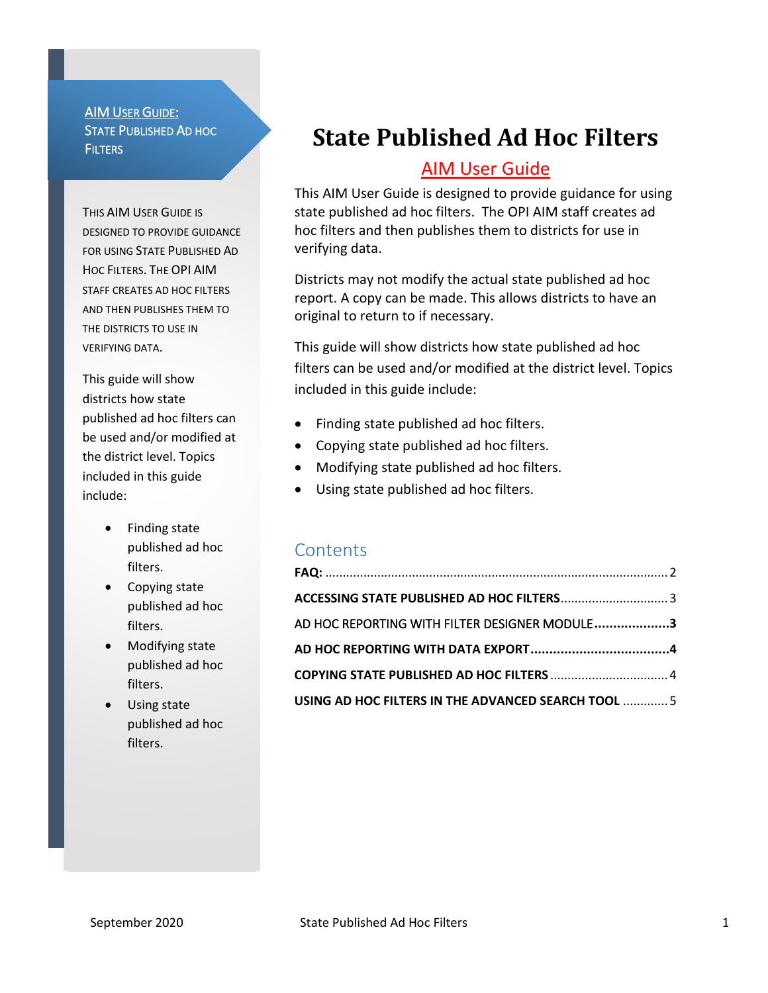AIM USER GUIDE: STATE PUBLISHED AD HOC **FILTERS** 

THIS AIM USER GUIDE IS DESIGNED TO PROVIDE GUIDANCE FOR USING STATE PUBLISHED AD HOC FILTERS. THE OPI AIM STAFF CREATES AD HOC FILTERS AND THEN PUBLISHES THEM TO THE DISTRICTS TO USE IN VERIFYING DATA.

This guide will show districts how state published ad hoc filters can be used and/or modified at the district level. Topics included in this guide include:

- Finding state published ad hoc filters.
- Copying state published ad hoc filters.
- Modifying state published ad hoc filters.
- Using state published ad hoc filters.

# **State Published Ad Hoc Filters**

# AIM User Guide

This AIM User Guide is designed to provide guidance for using state published ad hoc filters. The OPI AIM staff creates ad hoc filters and then publishes them to districts for use in verifying data.

Districts may not modify the actual state published ad hoc report. A copy can be made. This allows districts to have an original to return to if necessary.

This guide will show districts how state published ad hoc filters can be used and/or modified at the district level. Topics included in this guide include:

- Finding state published ad hoc filters.
- Copying state published ad hoc filters.
- Modifying state published ad hoc filters.
- Using state published ad hoc filters.

## **Contents**

| ACCESSING STATE PUBLISHED AD HOC FILTERS 3          |  |
|-----------------------------------------------------|--|
| AD HOC REPORTING WITH FILTER DESIGNER MODULE3       |  |
|                                                     |  |
|                                                     |  |
| USING AD HOC FILTERS IN THE ADVANCED SEARCH TOOL  5 |  |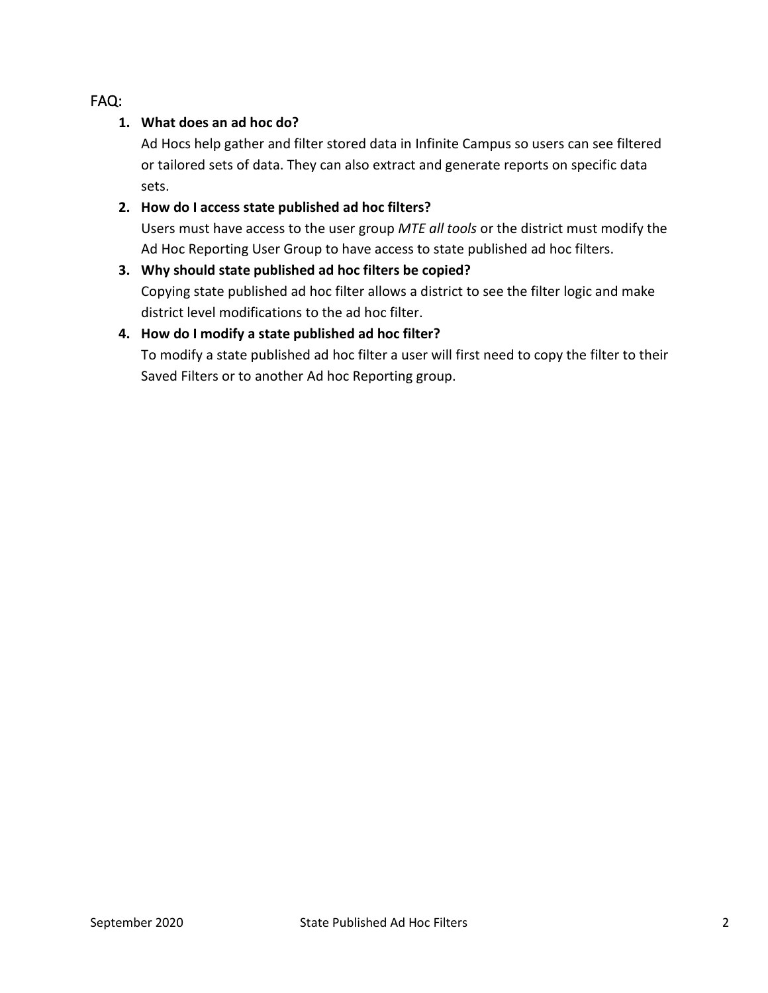#### <span id="page-1-0"></span>FAQ:

#### **1. What does an ad hoc do?**

Ad Hocs help gather and filter stored data in Infinite Campus so users can see filtered or tailored sets of data. They can also extract and generate reports on specific data sets.

#### **2. How do I access state published ad hoc filters?**

Users must have access to the user group *MTE all tools* or the district must modify the Ad Hoc Reporting User Group to have access to state published ad hoc filters.

## **3. Why should state published ad hoc filters be copied?**  Copying state published ad hoc filter allows a district to see the filter logic and make district level modifications to the ad hoc filter.

#### **4. How do I modify a state published ad hoc filter?**

To modify a state published ad hoc filter a user will first need to copy the filter to their Saved Filters or to another Ad hoc Reporting group.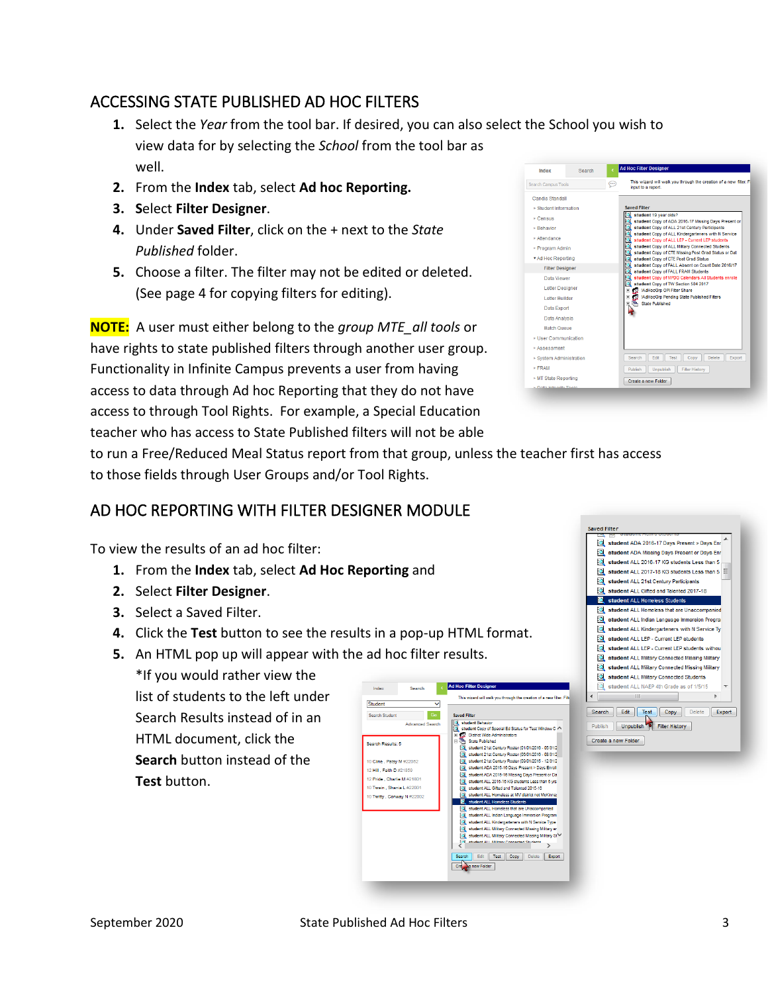# <span id="page-2-0"></span>ACCESSING STATE PUBLISHED AD HOC FILTERS

- **1.** Select the *Year* from the tool bar. If desired, you can also select the School you wish to view data for by selecting the *School* from the tool bar as well. Search Index
- **2.** From the **Index** tab, select **Ad hoc Reporting.**
- **3. S**elect **Filter Designer**.
- **4.** Under **Saved Filter**, click on the + next to the *State Published* folder.
- **5.** Choose a filter. The filter may not be edited or deleted. (See page 4 for copying filters for editing).

**NOTE:** A user must either belong to the *group MTE\_all tools* or have rights to state published filters through another user group. Functionality in Infinite Campus prevents a user from having access to data through Ad hoc Reporting that they do not have access to through Tool Rights. For example, a Special Education teacher who has access to State Published filters will not be able



to run a Free/Reduced Meal Status report from that group, unless the teacher first has access to those fields through User Groups and/or Tool Rights.

## <span id="page-2-1"></span>AD HOC REPORTING WITH FILTER DESIGNER MODULE

To view the results of an ad hoc filter:

- **1.** From the **Index** tab, select **Ad Hoc Reporting** and
- **2.** Select **Filter Designer**.
- **3.** Select a Saved Filter.
- **4.** Click the **Test** button to see the results in a pop-up HTML format.
- **5.** An HTML pop up will appear with the ad hoc filter results.

\*If you would rather view the list of students to the left under Search Results instead of in an HTML document, click the **Search** button instead of the **Test** button.



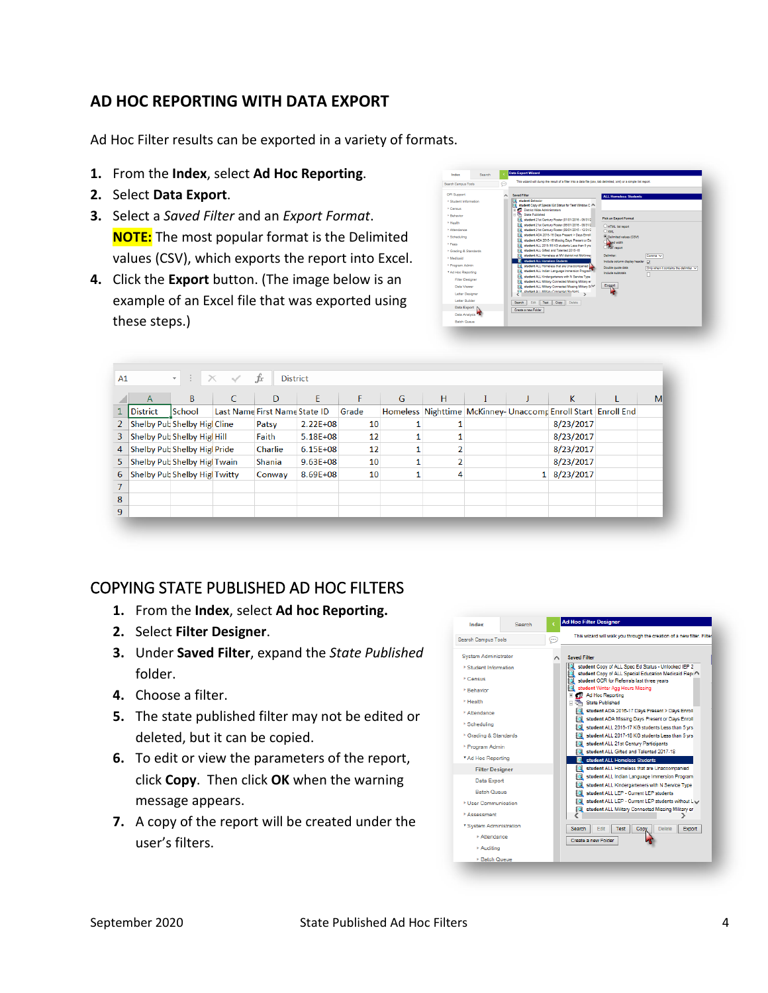## <span id="page-3-0"></span>**AD HOC REPORTING WITH DATA EXPORT**

Ad Hoc Filter results can be exported in a variety of formats.

- **1.** From the **Index**, select **Ad Hoc Reporting**.
- **2.** Select **Data Export**.
- **3.** Select a *Saved Filter* and an *Export Format*. **NOTE:** The most popular format is the Delimited values (CSV), which exports the report into Excel.
- **4.** Click the **Export** button. (The image below is an example of an Excel file that was exported using these steps.)

| This wizard will dump the result of a filter into a data file (csv, tab delimited, xml) or a simple list report.<br>⊕<br>Search Campus Tools                                                                                                                                                                                   |                                                                                                                                                                                                                                                                                                                                                                                                                                                                                                                                                                                                                                                                                                                                                                                                                                                                                                                                                                                                                                                                                                        |                                                                                                                                                                                                                                                                                            |  |  |  |  |  |
|--------------------------------------------------------------------------------------------------------------------------------------------------------------------------------------------------------------------------------------------------------------------------------------------------------------------------------|--------------------------------------------------------------------------------------------------------------------------------------------------------------------------------------------------------------------------------------------------------------------------------------------------------------------------------------------------------------------------------------------------------------------------------------------------------------------------------------------------------------------------------------------------------------------------------------------------------------------------------------------------------------------------------------------------------------------------------------------------------------------------------------------------------------------------------------------------------------------------------------------------------------------------------------------------------------------------------------------------------------------------------------------------------------------------------------------------------|--------------------------------------------------------------------------------------------------------------------------------------------------------------------------------------------------------------------------------------------------------------------------------------------|--|--|--|--|--|
| OPI Support                                                                                                                                                                                                                                                                                                                    | <b>Saved Filter</b>                                                                                                                                                                                                                                                                                                                                                                                                                                                                                                                                                                                                                                                                                                                                                                                                                                                                                                                                                                                                                                                                                    | <b>ALL Homeless Students</b>                                                                                                                                                                                                                                                               |  |  |  |  |  |
| * Student Information<br><b>Centus</b><br><b>- Rehavior</b><br><b>F Health</b><br><b>E Attendance</b><br>* Scheduling<br><b>F</b> Fees<br><sup>*</sup> Grading & Standards<br>> Medicaid<br>* Program Admin<br>* Ad Hoo Reporting<br><b>Filter Designer</b><br>Data Viewer<br>Letter Designer<br>Letter Ruilder<br>Data Export | student Behavior<br>ło.<br>student Cooy of Special Ed Status for Test Window C A<br>FL FD District Wide Administrators<br><b>State Published</b><br>日语<br>a<br>student 21st Century Roster (01/01/2016 - 05/31/2<br>fоl<br>student 21st Century Roster (05/01/2015 - 08/31/2)<br>Foll: student 21st Century Roster (09/01/2015 - 12/31/2)<br>C.<br>student ADA 2015-16 Days Present > Days Enroll<br>la.<br>student ADA 2015-16 Missing Days Present or Da<br><b>Q</b><br>student ALL 2015-16 KG students Less than 5 yrs<br>ſQ.<br>student ALL Gifted and Talented 2015-16<br>[C] student ALL Homeless at MV district not McKinner<br>o.<br>student ALL Homeless Students<br>student ALL Homeless that are Unaccompanied<br>lo.<br>la.<br>student ALL Indian Language Immersion Program<br>ia,<br>student ALL Kindergarteners with N Service Type<br>Q<br>student ALL Military Connected Missing Military er<br>ło.<br>student ALL Military Connected Missing Military SIV<br><b>EN Introduced ALL Military Concepted Students</b><br>Search<br>Edit<br>Copy<br>Delete<br>Test<br>Create a new Folder | <b>Pick an Export Format</b><br>C HTML list report<br>OXML<br>@ Delimited values (CSV)<br><b>Band width</b><br><b>PDF</b> recor<br>Delimiter<br>Comma V<br>Include column display header<br>ø<br>Double quote data<br>Only when it contains the delimiter v<br>Include subtotals<br>Export |  |  |  |  |  |
| Data Analysis<br><b>Retrit Oriente</b>                                                                                                                                                                                                                                                                                         |                                                                                                                                                                                                                                                                                                                                                                                                                                                                                                                                                                                                                                                                                                                                                                                                                                                                                                                                                                                                                                                                                                        |                                                                                                                                                                                                                                                                                            |  |  |  |  |  |

| A1 |                 | ÷<br>$\times$<br>÷           |                               | fx<br><b>District</b> |              |       |   |   |  |                                                              |   |
|----|-----------------|------------------------------|-------------------------------|-----------------------|--------------|-------|---|---|--|--------------------------------------------------------------|---|
|    | A               | B                            |                               | D                     | E            | F     | G | H |  | К                                                            | M |
|    | <b>District</b> | <b>School</b>                | Last Name First Name State ID |                       |              | Grade |   |   |  | Homeless Nighttime McKinney-Unaccomp Enroll Start Enroll End |   |
|    |                 | Shelby Pub Shelby Higi Cline |                               | Patsy                 | $2.22E + 08$ | 10    |   |   |  | 8/23/2017                                                    |   |
| 3. |                 | Shelby Pub Shelby Hig Hill   |                               | Faith                 | $5.18E + 08$ | 12    |   |   |  | 8/23/2017                                                    |   |
| 4  |                 | Shelby Pub Shelby Hig Pride  |                               | Charlie               | $6.15E + 08$ | 12    |   |   |  | 8/23/2017                                                    |   |
| 5. |                 | Shelby Pub Shelby Hig Twain  |                               | Shania                | $9.63E + 08$ | 10    |   |   |  | 8/23/2017                                                    |   |
| 6. |                 | Shelby Pub Shelby Hig Twitty |                               | Conway                | 8.69E+08     | 10    |   |   |  | 8/23/2017                                                    |   |
|    |                 |                              |                               |                       |              |       |   |   |  |                                                              |   |
| 8  |                 |                              |                               |                       |              |       |   |   |  |                                                              |   |
| 9  |                 |                              |                               |                       |              |       |   |   |  |                                                              |   |

## <span id="page-3-1"></span>COPYING STATE PUBLISHED AD HOC FILTERS

- **1.** From the **Index**, select **Ad hoc Reporting.**
- **2.** Select **Filter Designer**.
- **3.** Under **Saved Filter**, expand the *State Published* folder.
- **4.** Choose a filter.
- **5.** The state published filter may not be edited or deleted, but it can be copied.
- **6.** To edit or view the parameters of the report, click **Copy**. Then click **OK** when the warning message appears.
- **7.** A copy of the report will be created under the user's filters.